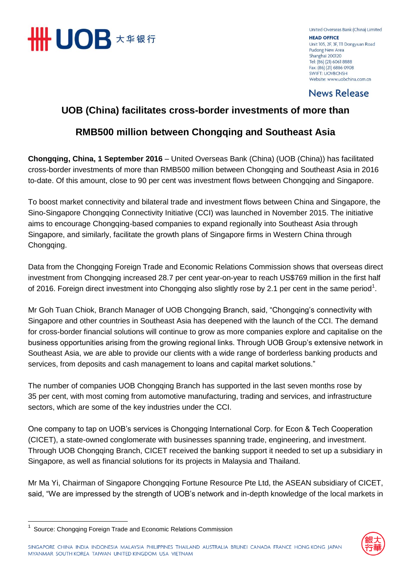

United Overseas Bank (China) Limited **HEAD OFFICE** Unit 105, 2F, 3F, 111 Dongyuan Road Pudong New Area Shanghai 200120 Tel: (86) (21) 6061 8888 Fax: (86) (21) 6886 0908 **SWIFT: UOVBCNSH** Website: www.uobchina.com.cn

**News Release** 

# **UOB (China) facilitates cross-border investments of more than**

# **RMB500 million between Chongqing and Southeast Asia**

**Chongqing, China, 1 September 2016** – United Overseas Bank (China) (UOB (China)) has facilitated cross-border investments of more than RMB500 million between Chongqing and Southeast Asia in 2016 to-date. Of this amount, close to 90 per cent was investment flows between Chongqing and Singapore.

To boost market connectivity and bilateral trade and investment flows between China and Singapore, the Sino-Singapore Chongqing Connectivity Initiative (CCI) was launched in November 2015. The initiative aims to encourage Chongqing-based companies to expand regionally into Southeast Asia through Singapore, and similarly, facilitate the growth plans of Singapore firms in Western China through Chongqing.

Data from the Chongqing Foreign Trade and Economic Relations Commission shows that overseas direct investment from Chongqing increased 28.7 per cent year-on-year to reach US\$769 million in the first half of 2016. Foreign direct investment into Chongqing also slightly rose by 2.1 per cent in the same period<sup>1</sup>.

Mr Goh Tuan Chiok, Branch Manager of UOB Chongqing Branch, said, "Chongqing's connectivity with Singapore and other countries in Southeast Asia has deepened with the launch of the CCI. The demand for cross-border financial solutions will continue to grow as more companies explore and capitalise on the business opportunities arising from the growing regional links. Through UOB Group's extensive network in Southeast Asia, we are able to provide our clients with a wide range of borderless banking products and services, from deposits and cash management to loans and capital market solutions."

The number of companies UOB Chongqing Branch has supported in the last seven months rose by 35 per cent, with most coming from automotive manufacturing, trading and services, and infrastructure sectors, which are some of the key industries under the CCI.

One company to tap on UOB's services is Chongqing International Corp. for Econ & Tech Cooperation (CICET), a state-owned conglomerate with businesses spanning trade, engineering, and investment. Through UOB Chongqing Branch, CICET received the banking support it needed to set up a subsidiary in Singapore, as well as financial solutions for its projects in Malaysia and Thailand.

Mr Ma Yi, Chairman of Singapore Chongqing Fortune Resource Pte Ltd, the ASEAN subsidiary of CICET, said, "We are impressed by the strength of UOB's network and in-depth knowledge of the local markets in

 $\overline{\phantom{a}}$ 





<sup>&</sup>lt;sup>1</sup> Source: Chongqing Foreign Trade and Economic Relations Commission